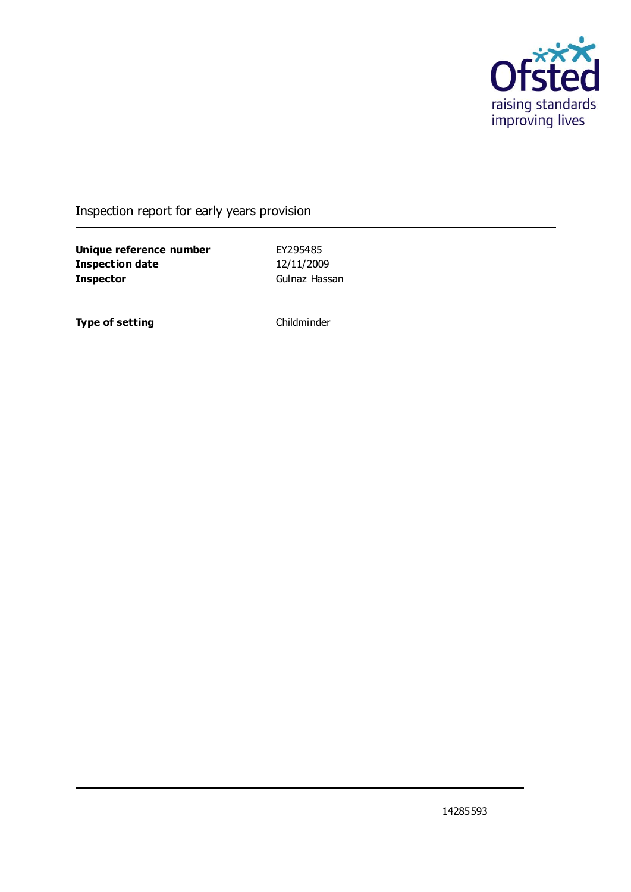

## Inspection report for early years provision

**Unique reference number** EY295485 **Inspection date** 12/11/2009 **Inspector** Gulnaz Hassan

**Type of setting** Childminder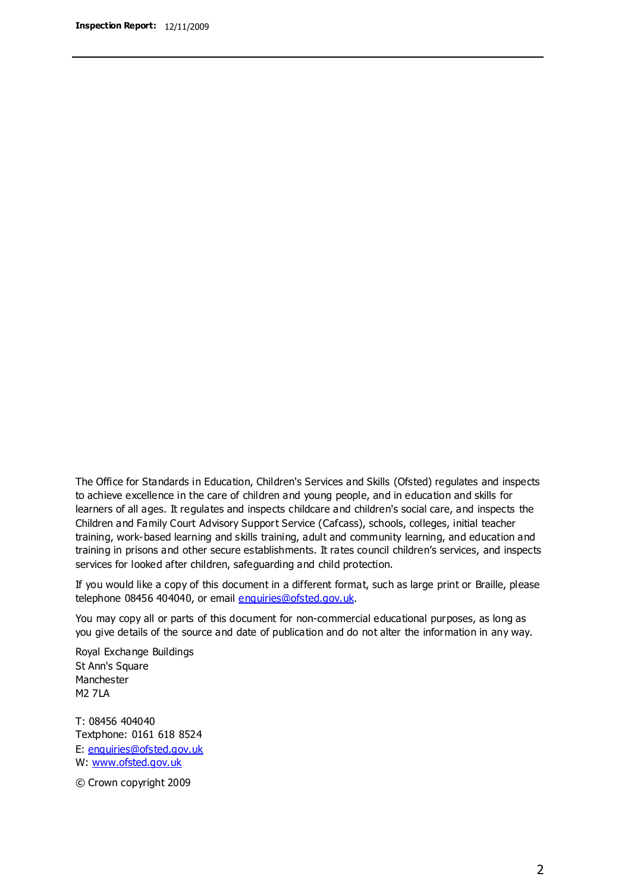The Office for Standards in Education, Children's Services and Skills (Ofsted) regulates and inspects to achieve excellence in the care of children and young people, and in education and skills for learners of all ages. It regulates and inspects childcare and children's social care, and inspects the Children and Family Court Advisory Support Service (Cafcass), schools, colleges, initial teacher training, work-based learning and skills training, adult and community learning, and education and training in prisons and other secure establishments. It rates council children's services, and inspects services for looked after children, safeguarding and child protection.

If you would like a copy of this document in a different format, such as large print or Braille, please telephone 08456 404040, or email enquiries@ofsted.gov.uk.

You may copy all or parts of this document for non-commercial educational purposes, as long as you give details of the source and date of publication and do not alter the information in any way.

Royal Exchange Buildings St Ann's Square Manchester M2 7LA

T: 08456 404040 Textphone: 0161 618 8524 E: enquiries@ofsted.gov.uk W: [www.ofsted.gov.uk](http://www.ofsted.gov.uk/)

© Crown copyright 2009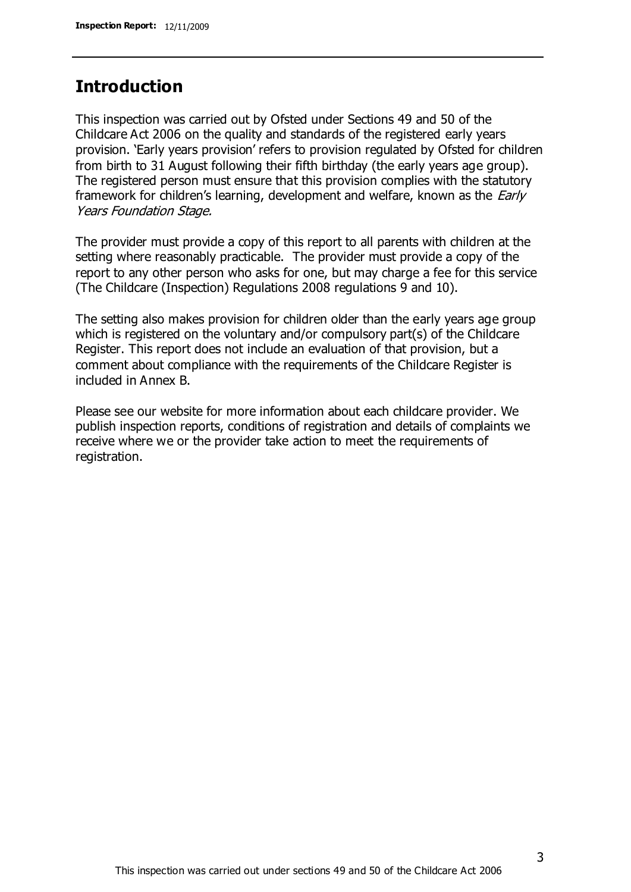## **Introduction**

This inspection was carried out by Ofsted under Sections 49 and 50 of the Childcare Act 2006 on the quality and standards of the registered early years provision. 'Early years provision' refers to provision regulated by Ofsted for children from birth to 31 August following their fifth birthday (the early years age group). The registered person must ensure that this provision complies with the statutory framework for children's learning, development and welfare, known as the *Early* Years Foundation Stage.

The provider must provide a copy of this report to all parents with children at the setting where reasonably practicable. The provider must provide a copy of the report to any other person who asks for one, but may charge a fee for this service (The Childcare (Inspection) Regulations 2008 regulations 9 and 10).

The setting also makes provision for children older than the early years age group which is registered on the voluntary and/or compulsory part(s) of the Childcare Register. This report does not include an evaluation of that provision, but a comment about compliance with the requirements of the Childcare Register is included in Annex B.

Please see our website for more information about each childcare provider. We publish inspection reports, conditions of registration and details of complaints we receive where we or the provider take action to meet the requirements of registration.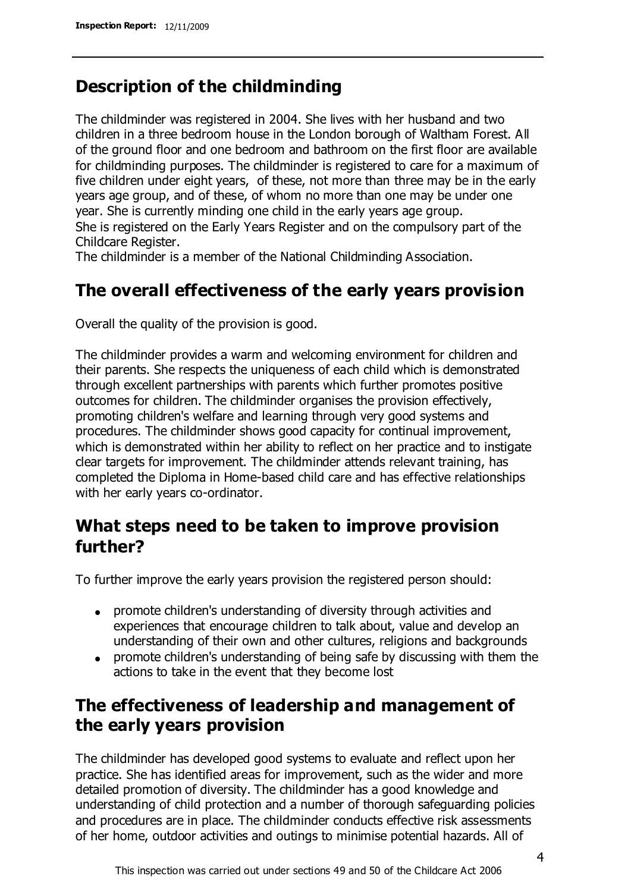# **Description of the childminding**

The childminder was registered in 2004. She lives with her husband and two children in a three bedroom house in the London borough of Waltham Forest. All of the ground floor and one bedroom and bathroom on the first floor are available for childminding purposes. The childminder is registered to care for a maximum of five children under eight years, of these, not more than three may be in the early years age group, and of these, of whom no more than one may be under one year. She is currently minding one child in the early years age group. She is registered on the Early Years Register and on the compulsory part of the Childcare Register.

The childminder is a member of the National Childminding Association.

## **The overall effectiveness of the early years provision**

Overall the quality of the provision is good.

The childminder provides a warm and welcoming environment for children and their parents. She respects the uniqueness of each child which is demonstrated through excellent partnerships with parents which further promotes positive outcomes for children. The childminder organises the provision effectively, promoting children's welfare and learning through very good systems and procedures. The childminder shows good capacity for continual improvement, which is demonstrated within her ability to reflect on her practice and to instigate clear targets for improvement. The childminder attends relevant training, has completed the Diploma in Home-based child care and has effective relationships with her early years co-ordinator.

# **What steps need to be taken to improve provision further?**

To further improve the early years provision the registered person should:

- promote children's understanding of diversity through activities and experiences that encourage children to talk about, value and develop an understanding of their own and other cultures, religions and backgrounds
- promote children's understanding of being safe by discussing with them the actions to take in the event that they become lost

# **The effectiveness of leadership and management of the early years provision**

The childminder has developed good systems to evaluate and reflect upon her practice. She has identified areas for improvement, such as the wider and more detailed promotion of diversity. The childminder has a good knowledge and understanding of child protection and a number of thorough safeguarding policies and procedures are in place. The childminder conducts effective risk assessments of her home, outdoor activities and outings to minimise potential hazards. All of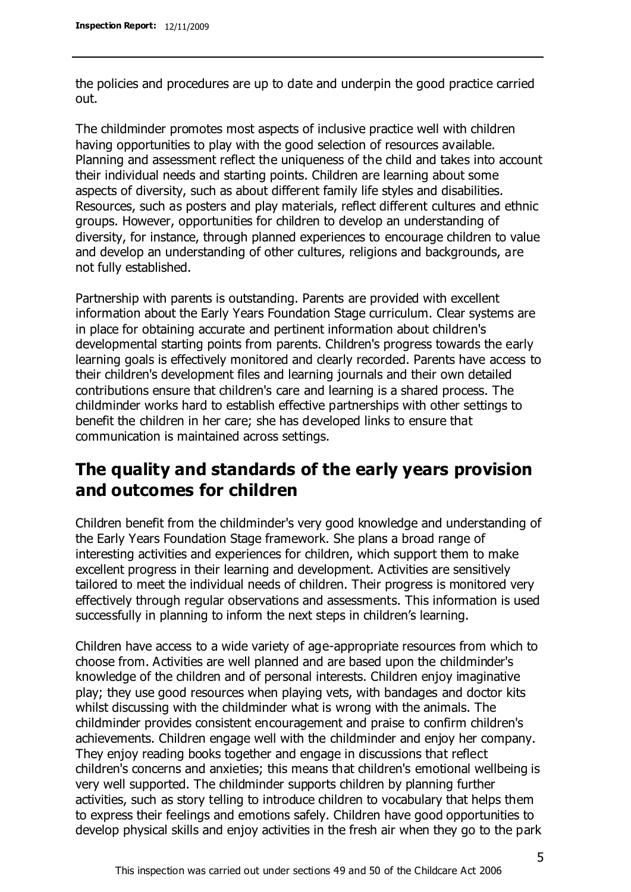the policies and procedures are up to date and underpin the good practice carried out.

The childminder promotes most aspects of inclusive practice well with children having opportunities to play with the good selection of resources available. Planning and assessment reflect the uniqueness of the child and takes into account their individual needs and starting points. Children are learning about some aspects of diversity, such as about different family life styles and disabilities. Resources, such as posters and play materials, reflect different cultures and ethnic groups. However, opportunities for children to develop an understanding of diversity, for instance, through planned experiences to encourage children to value and develop an understanding of other cultures, religions and backgrounds, are not fully established.

Partnership with parents is outstanding. Parents are provided with excellent information about the Early Years Foundation Stage curriculum. Clear systems are in place for obtaining accurate and pertinent information about children's developmental starting points from parents. Children's progress towards the early learning goals is effectively monitored and clearly recorded. Parents have access to their children's development files and learning journals and their own detailed contributions ensure that children's care and learning is a shared process. The childminder works hard to establish effective partnerships with other settings to benefit the children in her care; she has developed links to ensure that communication is maintained across settings.

# **The quality and standards of the early years provision and outcomes for children**

Children benefit from the childminder's very good knowledge and understanding of the Early Years Foundation Stage framework. She plans a broad range of interesting activities and experiences for children, which support them to make excellent progress in their learning and development. Activities are sensitively tailored to meet the individual needs of children. Their progress is monitored very effectively through regular observations and assessments. This information is used successfully in planning to inform the next steps in children's learning.

Children have access to a wide variety of age-appropriate resources from which to choose from. Activities are well planned and are based upon the childminder's knowledge of the children and of personal interests. Children enjoy imaginative play; they use good resources when playing vets, with bandages and doctor kits whilst discussing with the childminder what is wrong with the animals. The childminder provides consistent encouragement and praise to confirm children's achievements. Children engage well with the childminder and enjoy her company. They enjoy reading books together and engage in discussions that reflect children's concerns and anxieties; this means that children's emotional wellbeing is very well supported. The childminder supports children by planning further activities, such as story telling to introduce children to vocabulary that helps them to express their feelings and emotions safely. Children have good opportunities to develop physical skills and enjoy activities in the fresh air when they go to the park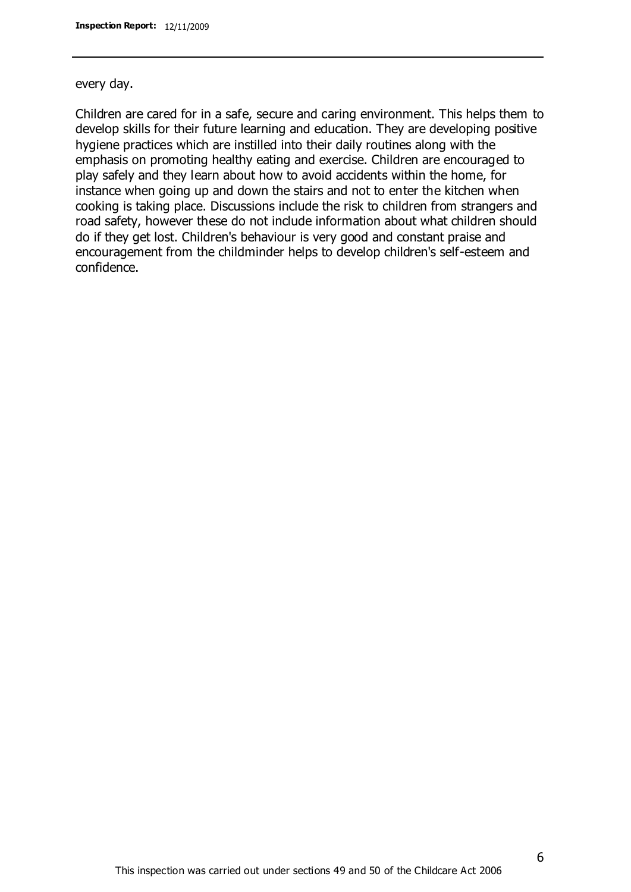#### every day.

Children are cared for in a safe, secure and caring environment. This helps them to develop skills for their future learning and education. They are developing positive hygiene practices which are instilled into their daily routines along with the emphasis on promoting healthy eating and exercise. Children are encouraged to play safely and they learn about how to avoid accidents within the home, for instance when going up and down the stairs and not to enter the kitchen when cooking is taking place. Discussions include the risk to children from strangers and road safety, however these do not include information about what children should do if they get lost. Children's behaviour is very good and constant praise and encouragement from the childminder helps to develop children's self-esteem and confidence.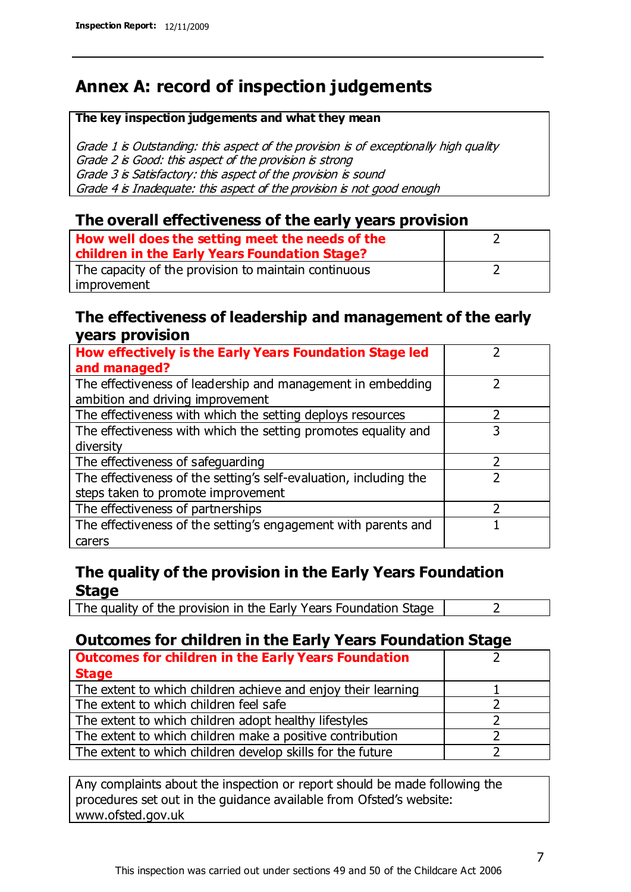# **Annex A: record of inspection judgements**

#### **The key inspection judgements and what they mean**

Grade 1 is Outstanding: this aspect of the provision is of exceptionally high quality Grade 2 is Good: this aspect of the provision is strong Grade 3 is Satisfactory: this aspect of the provision is sound Grade 4 is Inadequate: this aspect of the provision is not good enough

### **The overall effectiveness of the early years provision**

| How well does the setting meet the needs of the<br>children in the Early Years Foundation Stage? |  |
|--------------------------------------------------------------------------------------------------|--|
| The capacity of the provision to maintain continuous                                             |  |
| improvement                                                                                      |  |

### **The effectiveness of leadership and management of the early years provision**

| How effectively is the Early Years Foundation Stage led                                         |   |
|-------------------------------------------------------------------------------------------------|---|
| and managed?                                                                                    |   |
| The effectiveness of leadership and management in embedding<br>ambition and driving improvement |   |
| The effectiveness with which the setting deploys resources                                      |   |
| The effectiveness with which the setting promotes equality and                                  | 3 |
| diversity                                                                                       |   |
| The effectiveness of safeguarding                                                               | フ |
| The effectiveness of the setting's self-evaluation, including the                               |   |
| steps taken to promote improvement                                                              |   |
| The effectiveness of partnerships                                                               |   |
| The effectiveness of the setting's engagement with parents and                                  |   |
| carers                                                                                          |   |

## **The quality of the provision in the Early Years Foundation Stage**

The quality of the provision in the Early Years Foundation Stage  $\vert$  2

## **Outcomes for children in the Early Years Foundation Stage**

| <b>Outcomes for children in the Early Years Foundation</b>    |  |
|---------------------------------------------------------------|--|
| <b>Stage</b>                                                  |  |
| The extent to which children achieve and enjoy their learning |  |
| The extent to which children feel safe                        |  |
| The extent to which children adopt healthy lifestyles         |  |
| The extent to which children make a positive contribution     |  |
| The extent to which children develop skills for the future    |  |

Any complaints about the inspection or report should be made following the procedures set out in the guidance available from Ofsted's website: www.ofsted.gov.uk